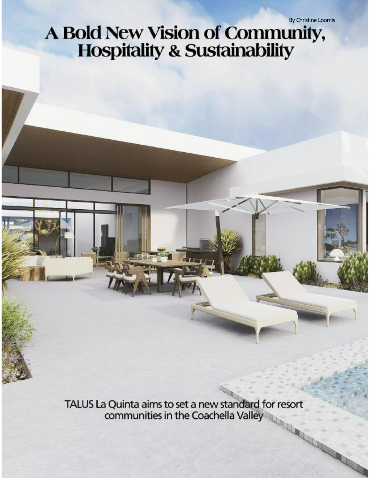## A Bold New Vision of Community, **Hospitality & Sustainability**

TALUS La Quinta aims to set a new standard for resort communities in the Coachella Valley **CONTROLLER**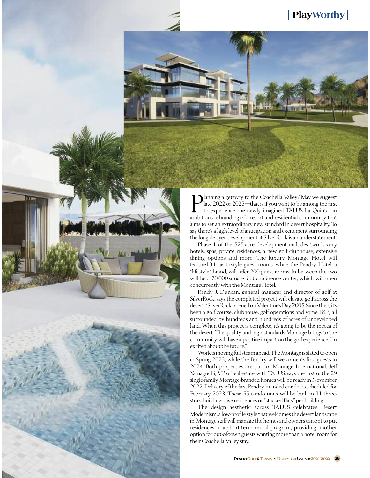

**P** lanning a getaway to the Coachella Valley? May we suggest late 2022 or 2023—that is if you want to be among the first to experience the newly imagined TALUS La Quinta, an ambitious rebranding of a resort and residentia lanning a getaway to the Coachella Valley? May we suggest late 2022 or 2023—that is if you want to be among the first to experience the newly imagined TALUS La Quinta, an aims to set an extraordinary new standard in desert hospitality. To say there's a high level of anticipation and excitement surrounding the long-delayed development at SilverRock is an understatement.

Phase 1 of the 525-acre development includes two luxury hotels, spas, private residences, a new golf clubhouse, extensive dining options and more. The luxury Montage Hotel will feature134 casita-style guest rooms, while the Pendry Hotel, a "lifestyle" brand, will offer 200 guest rooms. In between the two will be a 70,000-square-foot conference center, which will open concurrently with the Montage Hotel.

Randy J. Duncan, general manager and director of golf at SilverRock, says the completed project will elevate golf across the desert. "SilverRock opened on Valentine's Day, 2005. Since then, it's been a golf course, clubhouse, golf operations and some F&B, all surrounded by hundreds and hundreds of acres of undeveloped land. When this project is complete, it's going to be the mecca of the desert. The quality and high standards Montage brings to the community will have a positive impact on the golf experience. I'm excited about the future."

Work ismoving fullsteamahead.TheMontage isslated to open in Spring 2023, while the Pendry will welcome its first guests in 2024. Both properties are part of Montage International. Jeff Yamaguchi, VP of real estate with TALUS, says the first of the 29 single-family Montage-branded homes will be ready in November 2022. Delivery of the first Pendry-branded condos is scheduled for February 2023. These 55 condo units will be built in 11 threestory buildings, five residences or "stacked flats" per building.

The design aesthetic across TALUS celebrates Desert Modernism, a low-profile style that welcomesthe desertlandscape in. Montage staff will manage the homes and owners can opt to put residences in a short-term rental program, providing another option for out-of-town guests wanting more than a hotel room for their Coachella Valley stay.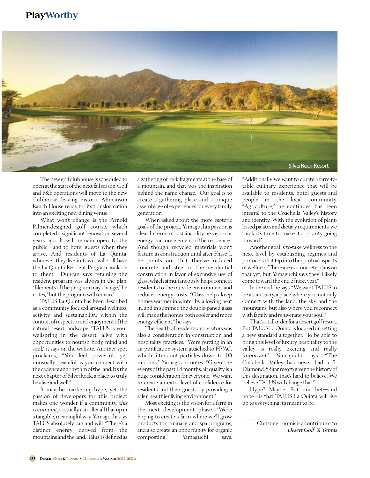

The new golf clubhouse is scheduled to openatthe start ofthenextfallseason.Golf and F&B operations will move to the new clubhouse, leaving historic Ahmanson Ranch House ready for its transformation into an exciting new dining venue.

What won't change is the Arnold Palmer-designed golf course, which completed a significant renovation several years ago. It will remain open to the public—and to hotel guests when they arrive. And residents of La Quinta, wherever they live in town, will still have the La Quinta Resident Program available to them. Duncan says retaining the resident program was always in the plan. "Elements of the program may change," he notes, "but the program will remain."

TALUS La Quinta has been described as a community focused around wellness, activity and sustainability, within the context ofrespectfor andenjoyment ofthe natural desert landscape. "TALUS is your wellspring in the desert, alive with opportunities to nourish body, mind and soul," it says on the website. Another spot proclaims, "You feel powerful, yet unusually peaceful as you connect with the cadence and rhythm of the land. It's the next chapter of SilverRock, a place to truly be alive and well."

It may be marketing hype, yet the passion of developers for this project makes one wonder if a community, this community, actually can offer all that up in a tangible, meaningful way.Yamaguchisays TALUS absolutely can and will. "There's a distinct energy derived from the mountains and the land. 'Talus' is defined as

a gathering of rock fragments at the base of a mountain, and that was the inspiration behind the name change. Our goal is to create a gathering place and a unique assemblage of experiences for every family generation."

When asked about the more esoteric goals of the project, Yamaguchi's passion is clear. In terms ofsustainability, he sayssolar energy is a core element of the residences. And though recycled materials won't feature in construction until after Phase 1, he points out that they've reduced concrete and steel in the residential construction in favor of expansive use of glass, which simultaneously helps connect residents to the outside environment and reduces energy costs. "Glass helps keep homes warmer in winter by allowing heat in, and in summer, the double-paned glass will make the homes both cooler and more energy-efficient," he says.

The health ofresidents and visitors was also a consideration in construction and hospitality practices. "We're putting in an air purification system attached to HVAC, which filters out particles down to .03 microns," Yamaguchi notes. "Given the events ofthe past 18 months, air quality is a huge consideration for everyone. We want to create an extra level of confidence for residents and their guests by providing a safer, healthier living environment."

Most exciting is the vision for a farm in the next development phase. "We're hoping to create a farm where we'll grow products for culinary and spa programs, and also create an opportunity for organic composting," Yamaguchi says.

"Additionally, we want to curate a farm-totable culinary experience that will be available to residents, hotel guests and people in the local community. "Agriculture," he continues, has been integral to the Coachella Valley's history and identity. With the evolution of plantbasedpalates and dietary requirements,we think it's time to make it a priority going forward."

Another goal is to-take wellness to the next level by establishing regimes and protocols that tap into the spiritual aspects of wellness.There are no concrete plans on that yet, but Yamaguchi says they'll likely come toward the end of next year."

In the end, he says,"We wantTALUS to be a sanctuary, a place where you not only connect with the land, the sky and the mountains, but also where you reconnect with family and rejuvenate yoursoul."

That's a tall order for a desert golf resort. ButTALUS LaQuinta isfocused on setting a new standard altogether. "To be able to bring this level of luxury hospitality to the valley is really exciting and really important," Yamaguchi says. "The Coachella Valley has never had a 5- Diamond, 5-Star resort; given the history of this destination, that's hard to believe. We believe TALUS will change that."

Hype? Maybe. But our bet—and hope—is that TALUS La Quinta will live up to everything it's meant to be.

\_\_\_\_\_\_\_\_\_\_\_\_\_\_\_\_\_\_\_\_\_\_\_\_\_\_\_\_\_\_\_